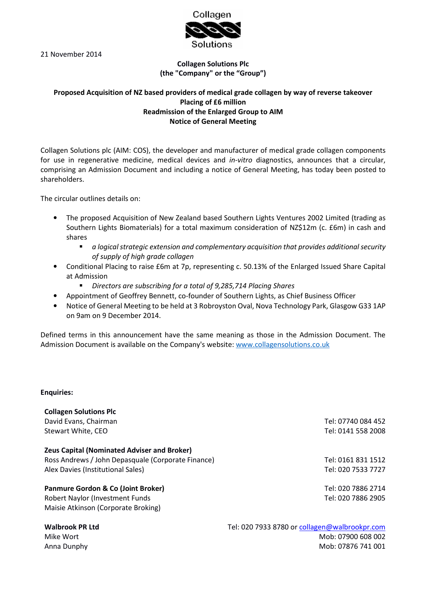

21 November 2014

# Collagen Solutions Plc (the "Company" or the "Group")

# Proposed Acquisition of NZ based providers of medical grade collagen by way of reverse takeover Placing of £6 million Readmission of the Enlarged Group to AIM Notice of General Meeting

Collagen Solutions plc (AIM: COS), the developer and manufacturer of medical grade collagen components for use in regenerative medicine, medical devices and in-vitro diagnostics, announces that a circular, comprising an Admission Document and including a notice of General Meeting, has today been posted to shareholders.

The circular outlines details on:

- The proposed Acquisition of New Zealand based Southern Lights Ventures 2002 Limited (trading as Southern Lights Biomaterials) for a total maximum consideration of NZ\$12m (c. £6m) in cash and shares
	- a logical strategic extension and complementary acquisition that provides additional security of supply of high grade collagen
- Conditional Placing to raise £6m at 7p, representing c. 50.13% of the Enlarged Issued Share Capital at Admission
	- Directors are subscribing for a total of 9,285,714 Placing Shares
- Appointment of Geoffrey Bennett, co-founder of Southern Lights, as Chief Business Officer
- Notice of General Meeting to be held at 3 Robroyston Oval, Nova Technology Park, Glasgow G33 1AP on 9am on 9 December 2014.

Defined terms in this announcement have the same meaning as those in the Admission Document. The Admission Document is available on the Company's website: www.collagensolutions.co.uk

### Enquiries:

Collagen Solutions Plc David Evans, Chairman Tel: 07740 084 452 Stewart White, CEO **Tel: 0141 558 2008** Zeus Capital (Nominated Adviser and Broker) Ross Andrews / John Depasquale (Corporate Finance) Tel: 0161 831 1512 Alex Davies (Institutional Sales) and the same of the same of the same of the Sales of Tel: 020 7533 7727 Panmure Gordon & Co (Joint Broker) Robert Naylor (Investment Funds Tel: 020 7886 2714 Tel: 020 7886 2905 Maisie Atkinson (Corporate Broking) Walbrook PR Ltd Tel: 020 7933 8780 or collagen@walbrookpr.com Mike Wort Mob: 07900 608 002

Anna Dunphy **Mob: 07876 741 001**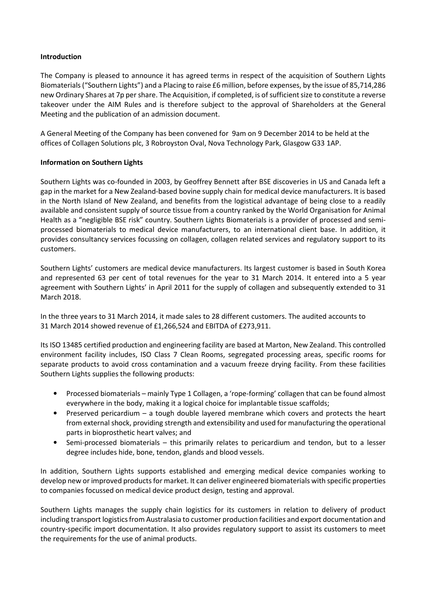### Introduction

The Company is pleased to announce it has agreed terms in respect of the acquisition of Southern Lights Biomaterials ("Southern Lights") and a Placing to raise £6 million, before expenses, by the issue of 85,714,286 new Ordinary Shares at 7p per share. The Acquisition, if completed, is of sufficient size to constitute a reverse takeover under the AIM Rules and is therefore subject to the approval of Shareholders at the General Meeting and the publication of an admission document.

A General Meeting of the Company has been convened for 9am on 9 December 2014 to be held at the offices of Collagen Solutions plc, 3 Robroyston Oval, Nova Technology Park, Glasgow G33 1AP.

### Information on Southern Lights

Southern Lights was co-founded in 2003, by Geoffrey Bennett after BSE discoveries in US and Canada left a gap in the market for a New Zealand-based bovine supply chain for medical device manufacturers. It is based in the North Island of New Zealand, and benefits from the logistical advantage of being close to a readily available and consistent supply of source tissue from a country ranked by the World Organisation for Animal Health as a "negligible BSE risk" country. Southern Lights Biomaterials is a provider of processed and semiprocessed biomaterials to medical device manufacturers, to an international client base. In addition, it provides consultancy services focussing on collagen, collagen related services and regulatory support to its customers.

Southern Lights' customers are medical device manufacturers. Its largest customer is based in South Korea and represented 63 per cent of total revenues for the year to 31 March 2014. It entered into a 5 year agreement with Southern Lights' in April 2011 for the supply of collagen and subsequently extended to 31 March 2018.

In the three years to 31 March 2014, it made sales to 28 different customers. The audited accounts to 31 March 2014 showed revenue of £1,266,524 and EBITDA of £273,911.

Its ISO 13485 certified production and engineering facility are based at Marton, New Zealand. This controlled environment facility includes, ISO Class 7 Clean Rooms, segregated processing areas, specific rooms for separate products to avoid cross contamination and a vacuum freeze drying facility. From these facilities Southern Lights supplies the following products:

- Processed biomaterials mainly Type 1 Collagen, a 'rope-forming' collagen that can be found almost everywhere in the body, making it a logical choice for implantable tissue scaffolds;
- Preserved pericardium a tough double layered membrane which covers and protects the heart from external shock, providing strength and extensibility and used for manufacturing the operational parts in bioprosthetic heart valves; and
- Semi-processed biomaterials this primarily relates to pericardium and tendon, but to a lesser degree includes hide, bone, tendon, glands and blood vessels.

In addition, Southern Lights supports established and emerging medical device companies working to develop new or improved products for market. It can deliver engineered biomaterials with specific properties to companies focussed on medical device product design, testing and approval.

Southern Lights manages the supply chain logistics for its customers in relation to delivery of product including transport logistics from Australasia to customer production facilities and export documentation and country-specific import documentation. It also provides regulatory support to assist its customers to meet the requirements for the use of animal products.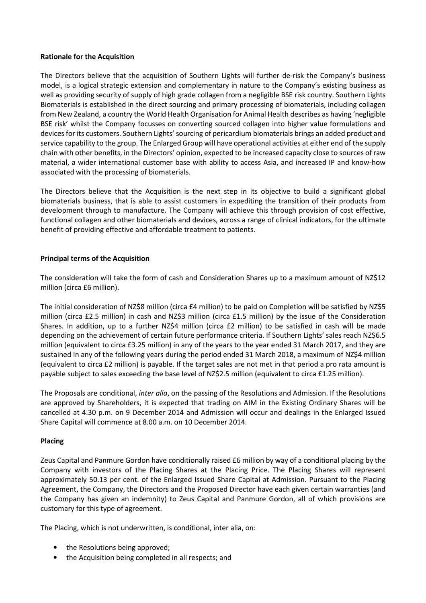### Rationale for the Acquisition

The Directors believe that the acquisition of Southern Lights will further de-risk the Company's business model, is a logical strategic extension and complementary in nature to the Company's existing business as well as providing security of supply of high grade collagen from a negligible BSE risk country. Southern Lights Biomaterials is established in the direct sourcing and primary processing of biomaterials, including collagen from New Zealand, a country the World Health Organisation for Animal Health describes as having 'negligible BSE risk' whilst the Company focusses on converting sourced collagen into higher value formulations and devices for its customers. Southern Lights' sourcing of pericardium biomaterials brings an added product and service capability to the group. The Enlarged Group will have operational activities at either end of the supply chain with other benefits, in the Directors' opinion, expected to be increased capacity close to sources of raw material, a wider international customer base with ability to access Asia, and increased IP and know-how associated with the processing of biomaterials.

The Directors believe that the Acquisition is the next step in its objective to build a significant global biomaterials business, that is able to assist customers in expediting the transition of their products from development through to manufacture. The Company will achieve this through provision of cost effective, functional collagen and other biomaterials and devices, across a range of clinical indicators, for the ultimate benefit of providing effective and affordable treatment to patients.

### Principal terms of the Acquisition

The consideration will take the form of cash and Consideration Shares up to a maximum amount of NZ\$12 million (circa £6 million).

The initial consideration of NZ\$8 million (circa £4 million) to be paid on Completion will be satisfied by NZ\$5 million (circa £2.5 million) in cash and NZ\$3 million (circa £1.5 million) by the issue of the Consideration Shares. In addition, up to a further NZ\$4 million (circa £2 million) to be satisfied in cash will be made depending on the achievement of certain future performance criteria. If Southern Lights' sales reach NZ\$6.5 million (equivalent to circa £3.25 million) in any of the years to the year ended 31 March 2017, and they are sustained in any of the following years during the period ended 31 March 2018, a maximum of NZ\$4 million (equivalent to circa £2 million) is payable. If the target sales are not met in that period a pro rata amount is payable subject to sales exceeding the base level of NZ\$2.5 million (equivalent to circa £1.25 million).

The Proposals are conditional, inter alia, on the passing of the Resolutions and Admission. If the Resolutions are approved by Shareholders, it is expected that trading on AIM in the Existing Ordinary Shares will be cancelled at 4.30 p.m. on 9 December 2014 and Admission will occur and dealings in the Enlarged Issued Share Capital will commence at 8.00 a.m. on 10 December 2014.

### Placing

Zeus Capital and Panmure Gordon have conditionally raised £6 million by way of a conditional placing by the Company with investors of the Placing Shares at the Placing Price. The Placing Shares will represent approximately 50.13 per cent. of the Enlarged Issued Share Capital at Admission. Pursuant to the Placing Agreement, the Company, the Directors and the Proposed Director have each given certain warranties (and the Company has given an indemnity) to Zeus Capital and Panmure Gordon, all of which provisions are customary for this type of agreement.

The Placing, which is not underwritten, is conditional, inter alia, on:

- the Resolutions being approved;
- the Acquisition being completed in all respects; and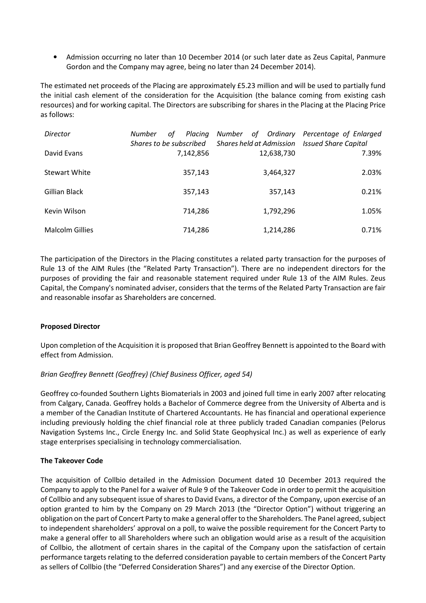• Admission occurring no later than 10 December 2014 (or such later date as Zeus Capital, Panmure Gordon and the Company may agree, being no later than 24 December 2014).

The estimated net proceeds of the Placing are approximately £5.23 million and will be used to partially fund the initial cash element of the consideration for the Acquisition (the balance coming from existing cash resources) and for working capital. The Directors are subscribing for shares in the Placing at the Placing Price as follows:

| Director               | Placing<br><b>Number</b><br>οf<br>Shares to be subscribed | Number of Ordinary Percentage of Enlarged<br><b>Shares held at Admission</b> Issued Share Capital |       |
|------------------------|-----------------------------------------------------------|---------------------------------------------------------------------------------------------------|-------|
| David Evans            | 7,142,856                                                 | 12,638,730                                                                                        | 7.39% |
| <b>Stewart White</b>   | 357,143                                                   | 3,464,327                                                                                         | 2.03% |
| Gillian Black          | 357,143                                                   | 357,143                                                                                           | 0.21% |
| Kevin Wilson           | 714,286                                                   | 1,792,296                                                                                         | 1.05% |
| <b>Malcolm Gillies</b> | 714,286                                                   | 1,214,286                                                                                         | 0.71% |

The participation of the Directors in the Placing constitutes a related party transaction for the purposes of Rule 13 of the AIM Rules (the "Related Party Transaction"). There are no independent directors for the purposes of providing the fair and reasonable statement required under Rule 13 of the AIM Rules. Zeus Capital, the Company's nominated adviser, considers that the terms of the Related Party Transaction are fair and reasonable insofar as Shareholders are concerned.

### Proposed Director

Upon completion of the Acquisition it is proposed that Brian Geoffrey Bennett is appointed to the Board with effect from Admission.

## Brian Geoffrey Bennett (Geoffrey) (Chief Business Officer, aged 54)

Geoffrey co-founded Southern Lights Biomaterials in 2003 and joined full time in early 2007 after relocating from Calgary, Canada. Geoffrey holds a Bachelor of Commerce degree from the University of Alberta and is a member of the Canadian Institute of Chartered Accountants. He has financial and operational experience including previously holding the chief financial role at three publicly traded Canadian companies (Pelorus Navigation Systems Inc., Circle Energy Inc. and Solid State Geophysical Inc.) as well as experience of early stage enterprises specialising in technology commercialisation.

### The Takeover Code

The acquisition of Collbio detailed in the Admission Document dated 10 December 2013 required the Company to apply to the Panel for a waiver of Rule 9 of the Takeover Code in order to permit the acquisition of Collbio and any subsequent issue of shares to David Evans, a director of the Company, upon exercise of an option granted to him by the Company on 29 March 2013 (the "Director Option") without triggering an obligation on the part of Concert Party to make a general offer to the Shareholders. The Panel agreed, subject to independent shareholders' approval on a poll, to waive the possible requirement for the Concert Party to make a general offer to all Shareholders where such an obligation would arise as a result of the acquisition of Collbio, the allotment of certain shares in the capital of the Company upon the satisfaction of certain performance targets relating to the deferred consideration payable to certain members of the Concert Party as sellers of Collbio (the "Deferred Consideration Shares") and any exercise of the Director Option.